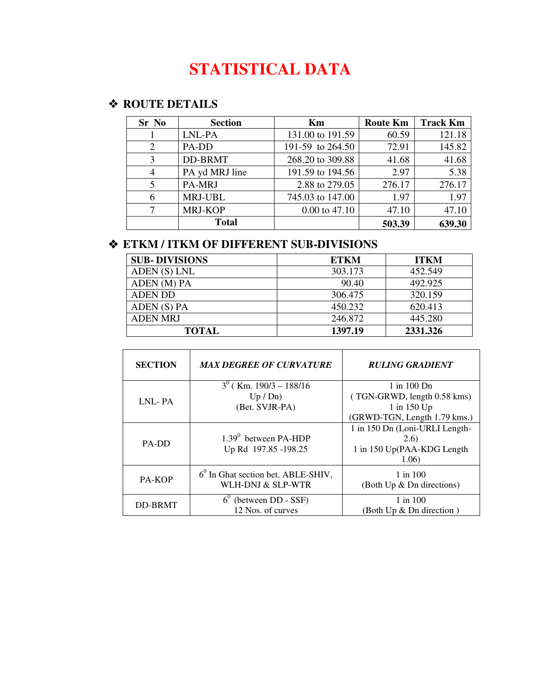# **STATISTICAL DATA**

#### **ROUTE DETAILS**

| Sr No | <b>Section</b> | Km               | <b>Route Km</b> | <b>Track Km</b> |
|-------|----------------|------------------|-----------------|-----------------|
|       | LNL-PA         | 131.00 to 191.59 | 60.59           | 121.18          |
| 2     | PA-DD          | 191-59 to 264.50 | 72.91           | 145.82          |
| 3     | DD-BRMT        | 268.20 to 309.88 | 41.68           | 41.68           |
| 4     | PA yd MRJ line | 191.59 to 194.56 | 2.97            | 5.38            |
| 5     | PA-MRJ         | 2.88 to 279.05   | 276.17          | 276.17          |
|       | MRJ-UBL        | 745.03 to 147.00 | 1.97            | 1.97            |
|       | MRJ-KOP        | $0.00$ to 47.10  | 47.10           | 47.10           |
|       | <b>Total</b>   |                  | 503.39          | 639.30          |

## **ETKM / ITKM OF DIFFERENT SUB-DIVISIONS**

| <b>SUB-DIVISIONS</b> | <b>ETKM</b> | <b>ITKM</b> |
|----------------------|-------------|-------------|
| ADEN (S) LNL         | 303.173     | 452.549     |
| ADEN (M) PA          | 90.40       | 492.925     |
| ADEN DD              | 306.475     | 320.159     |
| ADEN (S) PA          | 450.232     | 620.413     |
| <b>ADEN MRJ</b>      | 246.872     | 445.280     |
| <b>TOTAL</b>         | 1397.19     | 2331.326    |

| <b>SECTION</b> | <b>MAX DEGREE OF CURVATURE</b>                            | <b>RULING GRADIENT</b>                                                                        |
|----------------|-----------------------------------------------------------|-----------------------------------------------------------------------------------------------|
| LNL-PA         | $3^0$ (Km. 190/3 – 188/16)<br>Up / Dn)<br>(Bet. SVJR-PA)  | $1$ in $100$ Dn<br>(TGN-GRWD, length 0.58 kms)<br>1 in 150 Up<br>(GRWD-TGN, Length 1.79 kms.) |
| PA-DD          | $1.39^0$ between PA-HDP<br>Up Rd 197.85 -198.25           | 1 in 150 Dn (Loni-URLI Length-<br>(2.6)<br>1 in 150 Up(PAA-KDG Length<br>1.06)                |
| PA-KOP         | $60$ In Ghat section bet. ABLE-SHIV,<br>WLH-DNJ & SLP-WTR | $1$ in $100$<br>(Both Up & Dn directions)                                                     |
| <b>DD-BRMT</b> | (between DD - SSF)<br>12 Nos. of curves                   | $1$ in $100$<br>(Both Up & Dn direction)                                                      |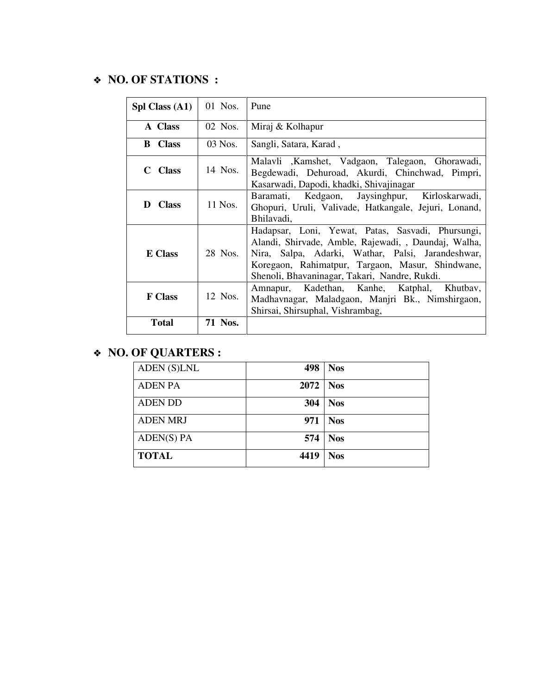#### **NO. OF STATIONS :**

| Spl Class (A1) | 01 Nos.   | Pune                                                                                                                                                                                                                                                                |
|----------------|-----------|---------------------------------------------------------------------------------------------------------------------------------------------------------------------------------------------------------------------------------------------------------------------|
| A Class        | $02$ Nos. | Miraj & Kolhapur                                                                                                                                                                                                                                                    |
| <b>B</b> Class | $03$ Nos. | Sangli, Satara, Karad,                                                                                                                                                                                                                                              |
| C Class        | 14 Nos.   | Malavli , Kamshet, Vadgaon, Talegaon, Ghorawadi,<br>Begdewadi, Dehuroad, Akurdi, Chinchwad, Pimpri,<br>Kasarwadi, Dapodi, khadki, Shivajinagar                                                                                                                      |
| D Class        | 11 Nos.   | Baramati, Kedgaon, Jaysinghpur, Kirloskarwadi,<br>Ghopuri, Uruli, Valivade, Hatkangale, Jejuri, Lonand,<br>Bhilavadi,                                                                                                                                               |
| <b>E</b> Class | 28 Nos.   | Hadapsar, Loni, Yewat, Patas, Sasvadi, Phursungi,<br>Alandi, Shirvade, Amble, Rajewadi, , Daundaj, Walha,<br>Nira, Salpa, Adarki, Wathar, Palsi, Jarandeshwar,<br>Koregaon, Rahimatpur, Targaon, Masur, Shindwane,<br>Shenoli, Bhavaninagar, Takari, Nandre, Rukdi. |
| <b>F</b> Class | 12 Nos.   | Amnapur, Kadethan, Kanhe, Katphal, Khutbay,<br>Madhavnagar, Maladgaon, Manjri Bk., Nimshirgaon,<br>Shirsai, Shirsuphal, Vishrambag,                                                                                                                                 |
| <b>Total</b>   | 71 Nos.   |                                                                                                                                                                                                                                                                     |

## **NO. OF QUARTERS :**

| ADEN (S)LNL      | 498  | <b>Nos</b> |
|------------------|------|------------|
| <b>ADEN PA</b>   | 2072 | <b>Nos</b> |
| <b>ADEN DD</b>   | 304  | <b>Nos</b> |
| <b>ADEN MRJ</b>  | 971  | <b>Nos</b> |
| $A$ DEN $(S)$ PA | 574  | <b>Nos</b> |
| <b>TOTAL</b>     | 4419 | <b>Nos</b> |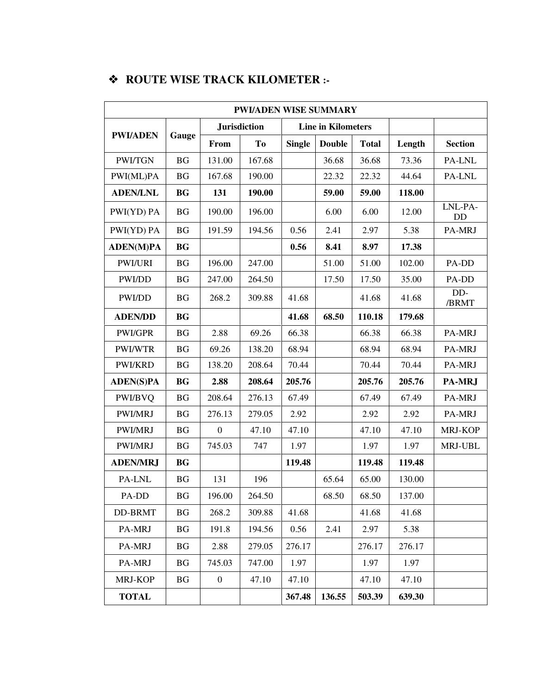## **ROUTE WISE TRACK KILOMETER :-**

| <b>PWI/ADEN WISE SUMMARY</b> |                        |                  |                     |               |                           |              |        |                |  |
|------------------------------|------------------------|------------------|---------------------|---------------|---------------------------|--------------|--------|----------------|--|
|                              |                        |                  | <b>Jurisdiction</b> |               | <b>Line in Kilometers</b> |              |        |                |  |
| <b>PWI/ADEN</b>              | Gauge                  | From             | To                  | <b>Single</b> | <b>Double</b>             | <b>Total</b> | Length | <b>Section</b> |  |
| <b>PWI/TGN</b>               | <b>BG</b>              | 131.00           | 167.68              |               | 36.68                     | 36.68        | 73.36  | PA-LNL         |  |
| PWI(ML)PA                    | <b>BG</b>              | 167.68           | 190.00              |               | 22.32                     | 22.32        | 44.64  | PA-LNL         |  |
| <b>ADEN/LNL</b>              | <b>BG</b>              | 131              | 190.00              |               | 59.00                     | 59.00        | 118.00 |                |  |
| PWI(YD) PA                   | <b>BG</b>              | 190.00           | 196.00              |               | 6.00                      | 6.00         | 12.00  | LNL-PA-<br>DD  |  |
| PWI(YD) PA                   | <b>BG</b>              | 191.59           | 194.56              | 0.56          | 2.41                      | 2.97         | 5.38   | PA-MRJ         |  |
| <b>ADEN(M)PA</b>             | <b>BG</b>              |                  |                     | 0.56          | 8.41                      | 8.97         | 17.38  |                |  |
| <b>PWI/URI</b>               | <b>BG</b>              | 196.00           | 247.00              |               | 51.00                     | 51.00        | 102.00 | PA-DD          |  |
| PWI/DD                       | <b>BG</b>              | 247.00           | 264.50              |               | 17.50                     | 17.50        | 35.00  | PA-DD          |  |
| PWI/DD                       | <b>BG</b>              | 268.2            | 309.88              | 41.68         |                           | 41.68        | 41.68  | DD-<br>/BRMT   |  |
| <b>ADEN/DD</b>               | <b>BG</b>              |                  |                     | 41.68         | 68.50                     | 110.18       | 179.68 |                |  |
| PWI/GPR                      | <b>BG</b>              | 2.88             | 69.26               | 66.38         |                           | 66.38        | 66.38  | PA-MRJ         |  |
| PWI/WTR                      | $\mathbf{B}\mathbf{G}$ | 69.26            | 138.20              | 68.94         |                           | 68.94        | 68.94  | PA-MRJ         |  |
| PWI/KRD                      | <b>BG</b>              | 138.20           | 208.64              | 70.44         |                           | 70.44        | 70.44  | PA-MRJ         |  |
| <b>ADEN(S)PA</b>             | <b>BG</b>              | 2.88             | 208.64              | 205.76        |                           | 205.76       | 205.76 | PA-MRJ         |  |
| PWI/BVQ                      | <b>BG</b>              | 208.64           | 276.13              | 67.49         |                           | 67.49        | 67.49  | PA-MRJ         |  |
| PWI/MRJ                      | BG                     | 276.13           | 279.05              | 2.92          |                           | 2.92         | 2.92   | PA-MRJ         |  |
| PWI/MRJ                      | <b>BG</b>              | $\boldsymbol{0}$ | 47.10               | 47.10         |                           | 47.10        | 47.10  | MRJ-KOP        |  |
| PWI/MRJ                      | BG                     | 745.03           | 747                 | 1.97          |                           | 1.97         | 1.97   | MRJ-UBL        |  |
| <b>ADEN/MRJ</b>              | <b>BG</b>              |                  |                     | 119.48        |                           | 119.48       | 119.48 |                |  |
| PA-LNL                       | $\mathbf{B}\mathbf{G}$ | 131              | 196                 |               | 65.64                     | 65.00        | 130.00 |                |  |
| $PA-DD$                      | BG                     | 196.00           | 264.50              |               | 68.50                     | 68.50        | 137.00 |                |  |
| <b>DD-BRMT</b>               | <b>BG</b>              | 268.2            | 309.88              | 41.68         |                           | 41.68        | 41.68  |                |  |
| PA-MRJ                       | <b>BG</b>              | 191.8            | 194.56              | 0.56          | 2.41                      | 2.97         | 5.38   |                |  |
| PA-MRJ                       | BG                     | 2.88             | 279.05              | 276.17        |                           | 276.17       | 276.17 |                |  |
| PA-MRJ                       | <b>BG</b>              | 745.03           | 747.00              | 1.97          |                           | 1.97         | 1.97   |                |  |
| MRJ-KOP                      | BG                     | $\boldsymbol{0}$ | 47.10               | 47.10         |                           | 47.10        | 47.10  |                |  |
| <b>TOTAL</b>                 |                        |                  |                     | 367.48        | 136.55                    | 503.39       | 639.30 |                |  |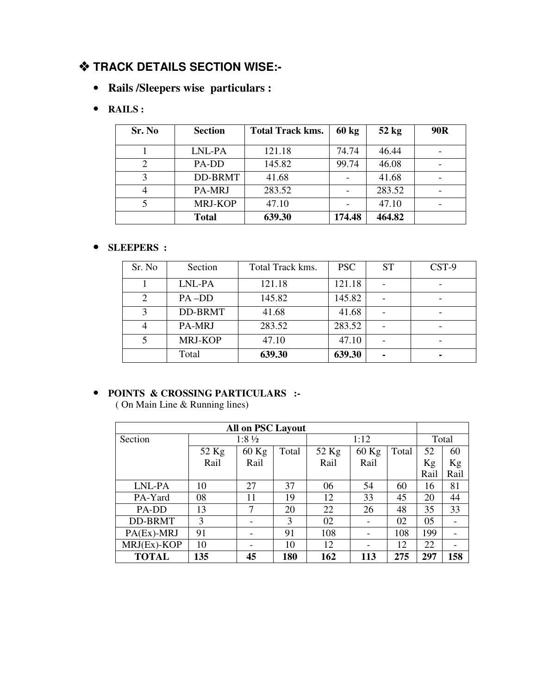#### **TRACK DETAILS SECTION WISE:-**

• **Rails /Sleepers wise particulars :** 

#### • **RAILS :**

| Sr. No | <b>Section</b> | <b>Total Track kms.</b> | $60 \text{ kg}$ | $52$ kg | 90R |
|--------|----------------|-------------------------|-----------------|---------|-----|
|        | LNL-PA         | 121.18                  | 74.74           | 46.44   | -   |
|        | PA-DD          | 145.82                  | 99.74           | 46.08   |     |
|        | DD-BRMT        | 41.68                   |                 | 41.68   |     |
|        | PA-MRJ         | 283.52                  |                 | 283.52  |     |
|        | MRJ-KOP        | 47.10                   |                 | 47.10   |     |
|        | <b>Total</b>   | 639.30                  | 174.48          | 464.82  |     |

#### • **SLEEPERS :**

| Sr. No | Section        | Total Track kms. | <b>PSC</b> | <b>ST</b> | CST-9 |
|--------|----------------|------------------|------------|-----------|-------|
|        | LNL-PA         | 121.18           | 121.18     |           |       |
| 2      | $PA$ -DD       | 145.82           | 145.82     |           |       |
| 3      | <b>DD-BRMT</b> | 41.68            | 41.68      |           |       |
| 4      | PA-MRJ         | 283.52           | 283.52     |           |       |
| 5      | MRJ-KOP        | 47.10            | 47.10      |           |       |
|        | Total          | 639.30           | 639.30     |           |       |

#### • **POINTS & CROSSING PARTICULARS :-**

( On Main Line & Running lines)

| <b>All on PSC Layout</b> |                           |      |       |         |       |     |       |      |  |
|--------------------------|---------------------------|------|-------|---------|-------|-----|-------|------|--|
|                          |                           |      |       |         |       |     |       |      |  |
| Section                  | $1:8\frac{1}{2}$          |      |       |         | 1:12  |     | Total |      |  |
|                          | 52 Kg<br>$60$ Kg<br>Total |      | 52 Kg | $60$ Kg | Total | 52  | 60    |      |  |
|                          | Rail                      | Rail |       | Rail    | Rail  |     | Kg    | Kg   |  |
|                          |                           |      |       |         |       |     | Rail  | Rail |  |
| LNL-PA                   | 10                        | 27   | 37    | 06      | 54    | 60  | 16    | 81   |  |
| PA-Yard                  | 08                        | 11   | 19    | 12      | 33    | 45  | 20    | 44   |  |
| PA-DD                    | 13                        | 7    | 20    | 22      | 26    | 48  | 35    | 33   |  |
| <b>DD-BRMT</b>           | 3                         |      | 3     | 02      |       | 02  | 05    |      |  |
| $PA(EX)$ -MRJ            | 91                        |      | 91    | 108     |       | 108 | 199   |      |  |
| MRJ(Ex)-KOP              | 10                        |      | 10    | 12      |       | 12  | 22    |      |  |
| <b>TOTAL</b>             | 135                       | 45   | 180   | 162     | 113   | 275 | 297   | 158  |  |